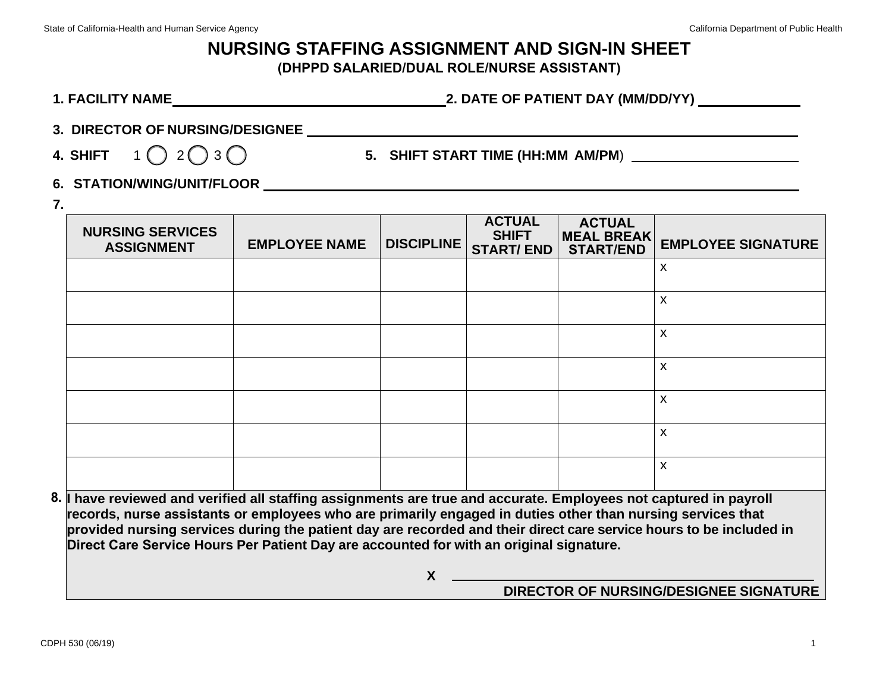## **NURSING STAFFING ASSIGNMENT AND SIGN-IN SHEET**

**(DHPPD SALARIED/DUAL ROLE/NURSE ASSISTANT)**

| <b>1. FACILITY NAME</b> | 2. DATE OF PATIENT DAY (MM/DD/YY) |
|-------------------------|-----------------------------------|
|                         |                                   |

- **3. DIRECTOR OF NURSING/DESIGNEE**
- 4. SHIFT  $1 \bigcirc 2 \bigcirc 3 \bigcirc$

**4. SHIFT** 1 2 3 **5. SHIFT START TIME (HH:MM AM/PM**)

**6. STATION/WING/UNIT/FLOOR** 

| 7. |                                              |                      |                   |                                                   |                                                        |                           |
|----|----------------------------------------------|----------------------|-------------------|---------------------------------------------------|--------------------------------------------------------|---------------------------|
|    | <b>NURSING SERVICES</b><br><b>ASSIGNMENT</b> | <b>EMPLOYEE NAME</b> | <b>DISCIPLINE</b> | <b>ACTUAL</b><br><b>SHIFT</b><br><b>START/END</b> | <b>ACTUAL</b><br><b>MEAL BREAK</b><br><b>START/END</b> | <b>EMPLOYEE SIGNATURE</b> |
|    |                                              |                      |                   |                                                   |                                                        | X                         |
|    |                                              |                      |                   |                                                   |                                                        | X                         |
|    |                                              |                      |                   |                                                   |                                                        | X                         |
|    |                                              |                      |                   |                                                   |                                                        | X                         |
|    |                                              |                      |                   |                                                   |                                                        | X                         |
|    |                                              |                      |                   |                                                   |                                                        | X                         |
|    |                                              |                      |                   |                                                   |                                                        | X                         |

**8. I have reviewed and verified all staffing assignments are true and accurate. Employees not captured in payroll records, nurse assistants or employees who are primarily engaged in duties other than nursing services that provided nursing services during the patient day are recorded and their direct care service hours to be included in Direct Care Service Hours Per Patient Day are accounted for with an original signature.** 

**X** 

**DIRECTOR OF NURSING/DESIGNEE SIGNATURE**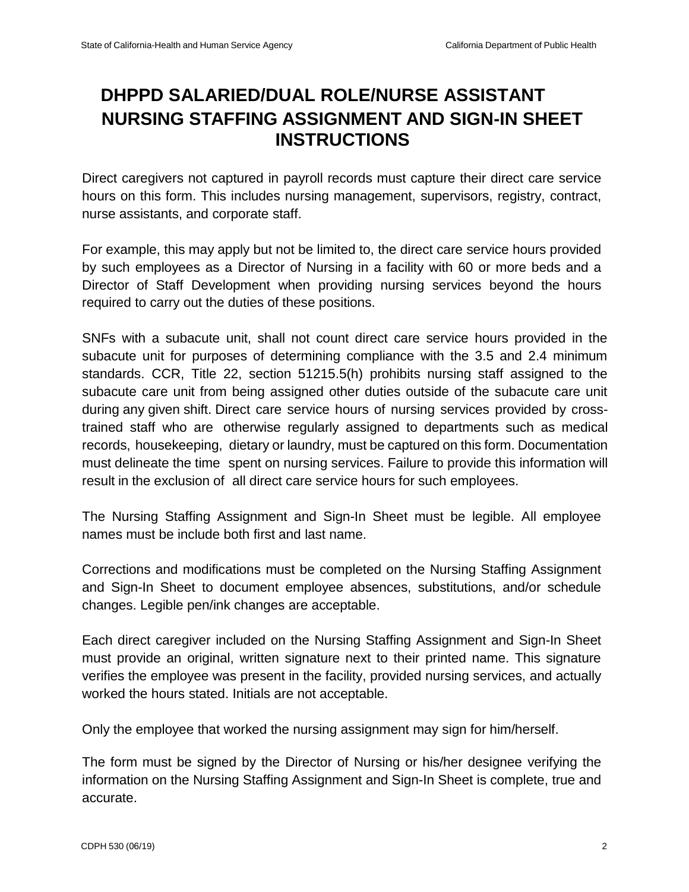## **DHPPD SALARIED/DUAL ROLE/NURSE ASSISTANT NURSING STAFFING ASSIGNMENT AND SIGN-IN SHEET INSTRUCTIONS**

Direct caregivers not captured in payroll records must capture their direct care service hours on this form. This includes nursing management, supervisors, registry, contract, nurse assistants, and corporate staff.

For example, this may apply but not be limited to, the direct care service hours provided by such employees as a Director of Nursing in a facility with 60 or more beds and a Director of Staff Development when providing nursing services beyond the hours required to carry out the duties of these positions.

 SNFs with a subacute unit, shall not count direct care service hours provided in the subacute unit for purposes of determining compliance with the 3.5 and 2.4 minimum standards. CCR, Title 22, section 51215.5(h) prohibits nursing staff assigned to the subacute care unit from being assigned other duties outside of the subacute care unit during any given shift. Direct care service hours of nursing services provided by crosstrained staff who are otherwise regularly assigned to departments such as medical records, housekeeping, dietary or laundry, must be captured on this form. Documentation must delineate the time spent on nursing services. Failure to provide this information will result in the exclusion of all direct care service hours for such employees.

The Nursing Staffing Assignment and Sign-In Sheet must be legible. All employee names must be include both first and last name.

Corrections and modifications must be completed on the Nursing Staffing Assignment and Sign-In Sheet to document employee absences, substitutions, and/or schedule changes. Legible pen/ink changes are acceptable.

Each direct caregiver included on the Nursing Staffing Assignment and Sign-In Sheet must provide an original, written signature next to their printed name. This signature verifies the employee was present in the facility, provided nursing services, and actually worked the hours stated. Initials are not acceptable.

Only the employee that worked the nursing assignment may sign for him/herself.

The form must be signed by the Director of Nursing or his/her designee verifying the information on the Nursing Staffing Assignment and Sign-In Sheet is complete, true and accurate.